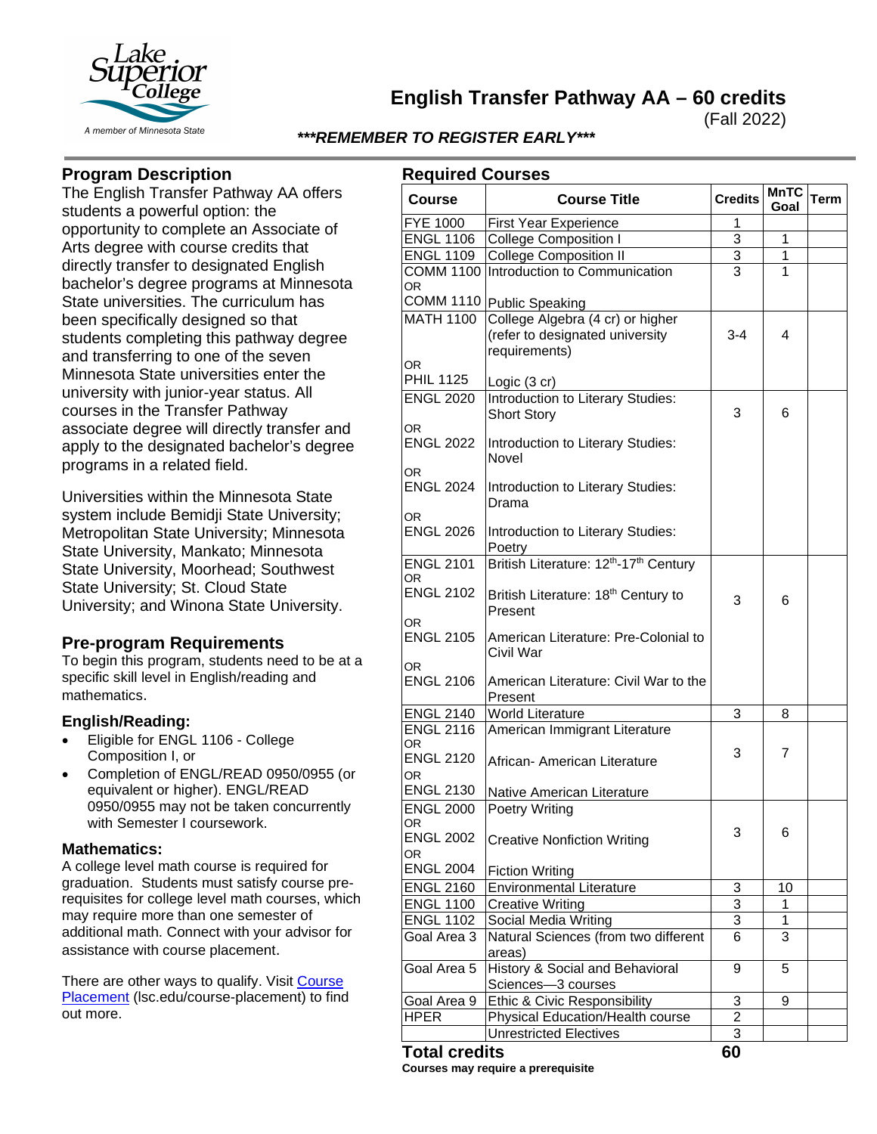

**English Transfer Pathway AA – 60 credits**

(Fall 2022)

## *\*\*\*REMEMBER TO REGISTER EARLY\*\*\**

### **Program Description**

The English Transfer Pathway AA offers students a powerful option: the opportunity to complete an Associate of Arts degree with course credits that directly transfer to designated English bachelor's degree programs at Minnesota State universities. The curriculum has been specifically designed so that students completing this pathway degree and transferring to one of the seven Minnesota State universities enter the university with junior-year status. All courses in the Transfer Pathway associate degree will directly transfer and apply to the designated bachelor's degree programs in a related field.

Universities within the Minnesota State system include Bemidji State University; Metropolitan State University; Minnesota State University, Mankato; Minnesota State University, Moorhead; Southwest State University; St. Cloud State University; and Winona State University.

### **Pre-program Requirements**

To begin this program, students need to be at a specific skill level in English/reading and mathematics.

### **English/Reading:**

- Eligible for ENGL 1106 College Composition I, or
- Completion of ENGL/READ 0950/0955 (or equivalent or higher). ENGL/READ 0950/0955 may not be taken concurrently with Semester I coursework.

#### **Mathematics:**

A college level math course is required for graduation. Students must satisfy course prerequisites for college level math courses, which may require more than one semester of additional math. Connect with your advisor for assistance with course placement.

There are other ways to qualify. Visit Course [Placement](https://www.lsc.edu/course-placement/) (lsc.edu/course-placement) to find out more.

| <b>Course</b>                        | <b>Course Title</b>                                                      | <b>Credits</b> | <b>MnTC</b><br>Goal | Term |
|--------------------------------------|--------------------------------------------------------------------------|----------------|---------------------|------|
| <b>FYE 1000</b>                      | <b>First Year Experience</b>                                             | 1              |                     |      |
| <b>ENGL 1106</b>                     | <b>College Composition I</b>                                             | 3              | 1                   |      |
| <b>ENGL 1109</b>                     | <b>College Composition II</b>                                            | 3              | 1                   |      |
| COMM 1100                            | Introduction to Communication                                            | 3              | 1                   |      |
| OR.                                  |                                                                          |                |                     |      |
|                                      | COMM 1110 Public Speaking                                                |                |                     |      |
| <b>MATH 1100</b>                     | College Algebra (4 cr) or higher                                         |                |                     |      |
|                                      | (refer to designated university                                          | $3 - 4$        | 4                   |      |
|                                      | requirements)                                                            |                |                     |      |
| OR.<br><b>PHIL 1125</b>              |                                                                          |                |                     |      |
|                                      | Logic (3 cr)                                                             |                |                     |      |
| <b>ENGL 2020</b>                     | Introduction to Literary Studies:                                        | 3              | 6                   |      |
| OR.                                  | <b>Short Story</b>                                                       |                |                     |      |
| <b>ENGL 2022</b>                     | Introduction to Literary Studies:                                        |                |                     |      |
|                                      | Novel                                                                    |                |                     |      |
| OR.                                  |                                                                          |                |                     |      |
| <b>ENGL 2024</b>                     | Introduction to Literary Studies:                                        |                |                     |      |
|                                      | Drama                                                                    |                |                     |      |
| OR.                                  |                                                                          |                |                     |      |
| <b>ENGL 2026</b>                     | Introduction to Literary Studies:                                        |                |                     |      |
| <b>ENGL 2101</b>                     | Poetry<br>British Literature: 12 <sup>th</sup> -17 <sup>th</sup> Century |                |                     |      |
| OR.                                  |                                                                          |                |                     |      |
| <b>ENGL 2102</b>                     | British Literature: 18 <sup>th</sup> Century to                          |                |                     |      |
|                                      | Present                                                                  | 3              | 6                   |      |
| OR.                                  |                                                                          |                |                     |      |
| <b>ENGL 2105</b>                     | American Literature: Pre-Colonial to                                     |                |                     |      |
|                                      | Civil War                                                                |                |                     |      |
| OR.<br><b>ENGL 2106</b>              | American Literature: Civil War to the                                    |                |                     |      |
|                                      | Present                                                                  |                |                     |      |
| <b>ENGL 2140</b>                     | <b>World Literature</b>                                                  | 3              | 8                   |      |
| <b>ENGL 2116</b>                     | American Immigrant Literature                                            |                |                     |      |
| OR.                                  |                                                                          |                |                     |      |
| <b>ENGL 2120</b>                     | African- American Literature                                             | 3              | 7                   |      |
| OR.                                  |                                                                          |                |                     |      |
| <b>ENGL 2130</b>                     | Native American Literature                                               |                |                     |      |
| <b>ENGL 2000</b>                     | Poetry Writing                                                           |                |                     |      |
| OR                                   |                                                                          | 3              | 6                   |      |
| <b>ENGL 2002</b>                     | <b>Creative Nonfiction Writing</b>                                       |                |                     |      |
| OR.<br><b>ENGL 2004</b>              |                                                                          |                |                     |      |
|                                      | <b>Fiction Writing</b>                                                   |                |                     |      |
| <b>ENGL 2160</b><br><b>ENGL 1100</b> | <b>Environmental Literature</b><br><b>Creative Writing</b>               | 3<br>3         | 10<br>1             |      |
| <b>ENGL 1102</b>                     | Social Media Writing                                                     | 3              | 1                   |      |
| Goal Area 3                          | Natural Sciences (from two different                                     | 6              | 3                   |      |
|                                      | areas)                                                                   |                |                     |      |
| Goal Area 5                          | History & Social and Behavioral                                          | 9              | 5                   |      |
|                                      | Sciences-3 courses                                                       |                |                     |      |
| Goal Area 9                          | Ethic & Civic Responsibility                                             | 3              | 9                   |      |
| <b>HPER</b>                          | Physical Education/Health course                                         | $\overline{2}$ |                     |      |
|                                      | <b>Unrestricted Electives</b>                                            | 3              |                     |      |
| <b>Total credits</b>                 |                                                                          | 60             |                     |      |

**Courses may require a prerequisite**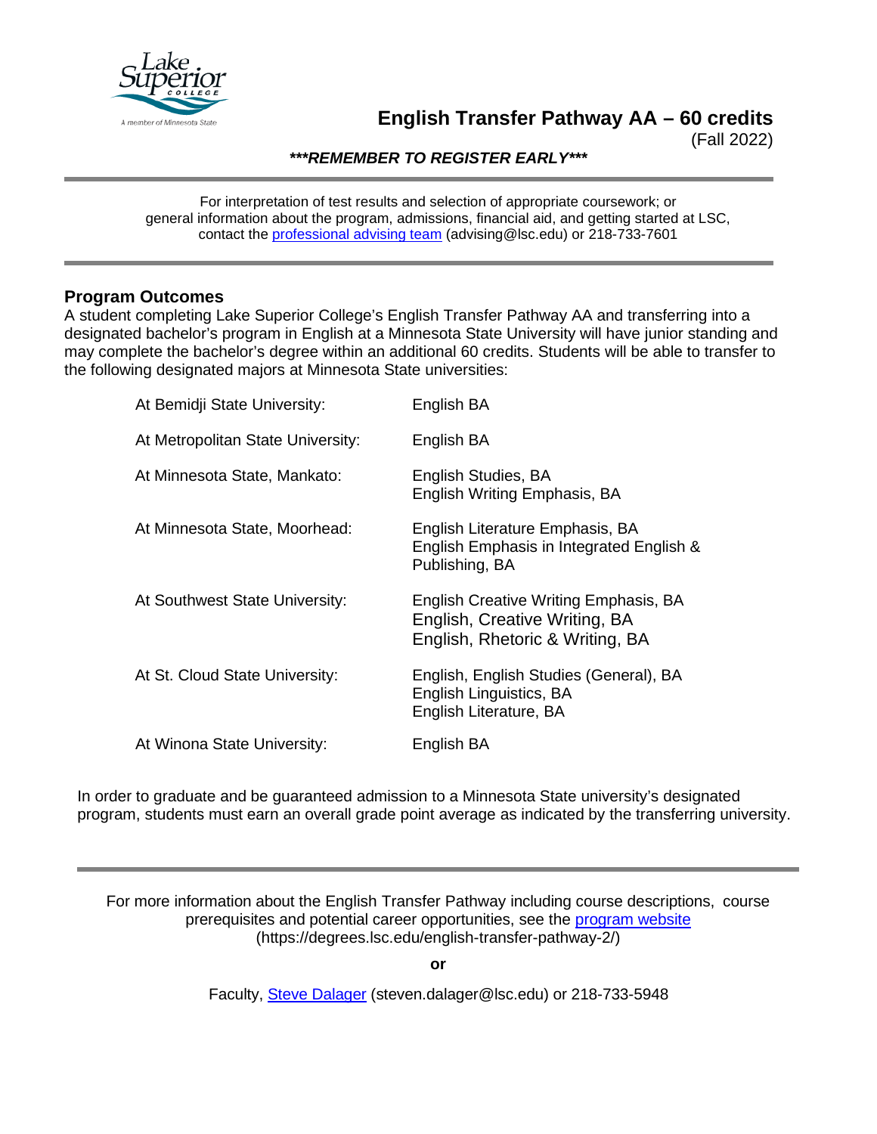

## **English Transfer Pathway AA – 60 credits**

(Fall 2022)

*\*\*\*REMEMBER TO REGISTER EARLY\*\*\**

For interpretation of test results and selection of appropriate coursework; or general information about the program, admissions, financial aid, and getting started at LSC, contact the [professional advising team](mailto:advising@lsc.edu) (advising@lsc.edu) or 218-733-7601

### **Program Outcomes**

A student completing Lake Superior College's English Transfer Pathway AA and transferring into a designated bachelor's program in English at a Minnesota State University will have junior standing and may complete the bachelor's degree within an additional 60 credits. Students will be able to transfer to the following designated majors at Minnesota State universities:

| At Bemidji State University:      | English BA                                                                                                |
|-----------------------------------|-----------------------------------------------------------------------------------------------------------|
| At Metropolitan State University: | English BA                                                                                                |
| At Minnesota State, Mankato:      | English Studies, BA<br>English Writing Emphasis, BA                                                       |
| At Minnesota State, Moorhead:     | English Literature Emphasis, BA<br>English Emphasis in Integrated English &<br>Publishing, BA             |
| At Southwest State University:    | English Creative Writing Emphasis, BA<br>English, Creative Writing, BA<br>English, Rhetoric & Writing, BA |
| At St. Cloud State University:    | English, English Studies (General), BA<br>English Linguistics, BA<br>English Literature, BA               |
| At Winona State University:       | English BA                                                                                                |

In order to graduate and be guaranteed admission to a Minnesota State university's designated program, students must earn an overall grade point average as indicated by the transferring university.

For more information about the English Transfer Pathway including course descriptions, course prerequisites and potential career opportunities, see the [program website](https://degrees.lsc.edu/english-transfer-pathway-2/) (https://degrees.lsc.edu/english-transfer-pathway-2/)

**or**

Faculty, [Steve Dalager](mailto:steven.dalager@lsc.edu) (steven.dalager@lsc.edu) or 218-733-5948